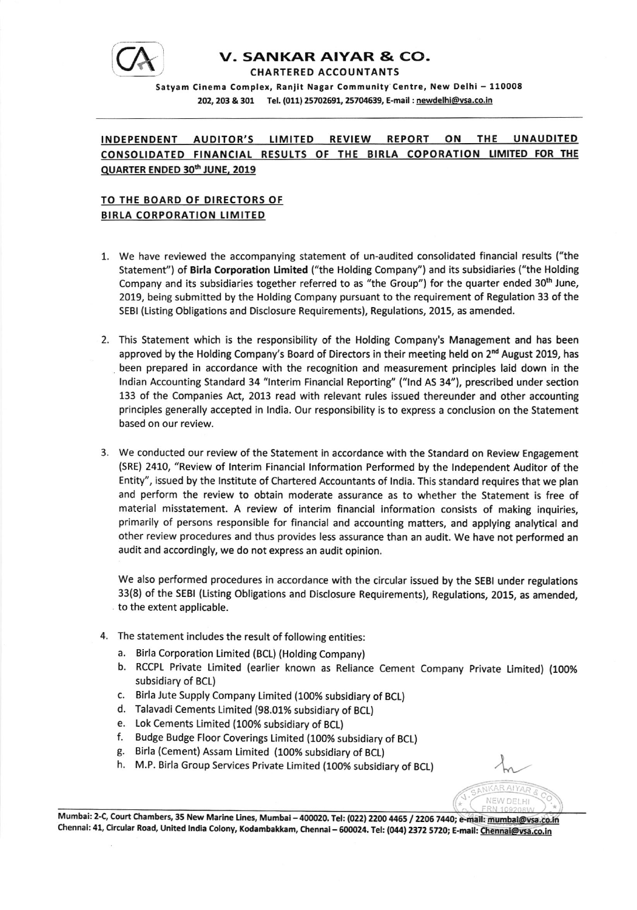

## **V. SANKAR AIYAR & CO.** CHARTERED ACCOUNTANTS

Satyam Cinema Complex, Ranjit Nagar Community Centre, New Delhi - 110008 202, 203 & 301 Tel. (011) 25702691, 25704639, E-mail : newdelhi@vsa.co.in

## INDEPENDENT AUDITOR'S LIMITED REVIEW REPORT ON THE UNAUDITED CONSOLIDATED FINANCIAL RESULTS OF THE BIRLA COPORATION LIMITED FOR THE QUARTER ENDED 30<sup>th</sup> JUNE, 2019

## TO THE BOARD OF DIRECTORS OF **BIRLA CORPORATION LIMITED**

- 1. We have reviewed the accompanying statement of un-audited consolidated financial results ("the Statement") of Birla Corporation Limited ("the Holding Company") and its subsidiaries ("the Holding Company and its subsidiaries together referred to as "the Group") for the quarter ended  $30<sup>th</sup>$  June, 2019, being submitted by the Holding Company pursuant to the requirement of Regulation 33 of the SEBI (Listing Obligations and Disclosure Requirements), Regulations, 2015, as amended.
- 2. This Statement which is the responsibility of the Holding Company's Management and has been approved by the Holding Company's Board of Directors in their meeting held on 2<sup>nd</sup> August 2019, has been prepared in accordance with the recognition and measurement principles laid down in the lndian Accounting Standard 34 "lnterim Financial Reporting" ("lnd AS 34"), prescribed under section 133 of the Companies Act, 2013 read with relevant rules issued thereunder and other accounting principles generally accepted in lndia. Our responsibility is to express a conclusion on the Statement based on our review.
- 3. We conducted our review of the Statement in accordance with the Standard on Review Engagement (SRE) 2410, "Review of Interim Financial lnformation Performed by the lndependent Auditor of the Entity", issued by the lnstitute of Chartered Accountants of lndia. This standard requires that we plan and perform the review to obtain moderate assurance as to whether the Statement is free of material misstatement. A review of interim financial information consists of making inquiries, primarily of persons responsible for financial and accounting matters, and applying analytical and other review procedures and thus provides less assurance than an audit. We have not performed an audit and accordingly, we do not express an audit opinion.

We also performed procedures in accordance with the circular issued by the SEBI under regulations 33(8) of the SEBI (Listing Obligations and Disclosure Requirements), Regulations, 2015, as amended, to the extent applicable.

- 4. The statement includes the result of following entities:
	- a. Birla Corporation Limited (BCL) (Holding Company)
	- b. RccPL Private Limited (earlier known as Reliance cement company private Limited) (1oo% subsidiary of BCL)
	- c. Birla Jute Supply Company Limited (100% subsidiary of BCL)
	- d. Talavadi Cements timited (98.01% subsidiary of BCt)
	- e. Lok Cements Limited (100% subsidiary of BCL)
	- f. Budge Budge Floor Coverings Limited (1OO% subsidiary of BCL)
	- g. Birla (Cement) Assam Limited (100% subsidiary of BCL)
	- h. M.P. Birla Group Services Private Limited (1OO% subsidiary of BCL)

Mumbai: 2-C, Court Chambers, 35 New Marine Lines, Mumbai – 400020. Tel: (022) 2200 4465 / 2206 7440; e-mail: <u>mumbai@vsa.co.tr</u><br>Cl Chennai: 41, Circular Road, United India Colony, Kodambakkam, Chennai – 600024. Tel: (044) 2372 5720; E-mail: <u>Chennai@vsa.co.ir</u>